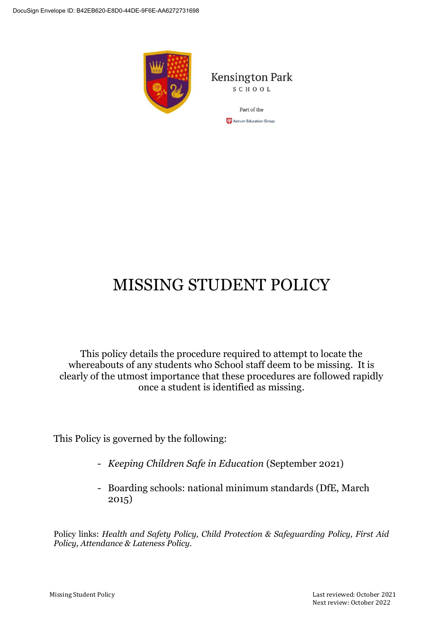

**Kensington Park** SCHOOL

> Part of the **CP** Astrum Education Group

# MISSING STUDENT POLICY

This policy details the procedure required to attempt to locate the whereabouts of any students who School staff deem to be missing. It is clearly of the utmost importance that these procedures are followed rapidly once a student is identified as missing.

This Policy is governed by the following:

- *[Keeping Children Safe in Education](https://assets.publishing.service.gov.uk/government/uploads/system/uploads/attachment_data/file/999348/Keeping_children_safe_in_education_2021.pdf)* (September 2021)
- Boarding schools: national minimum standards (DfE, March 2015)

Policy links: *Health and Safety Policy, Child Protection & Safeguarding Policy, First Aid Policy, Attendance & Lateness Policy.*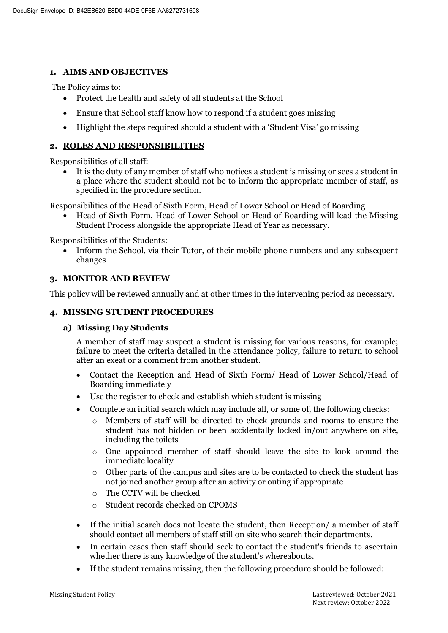### **1. AIMS AND OBJECTIVES**

The Policy aims to:

- Protect the health and safety of all students at the School
- Ensure that School staff know how to respond if a student goes missing
- Highlight the steps required should a student with a 'Student Visa' go missing

## **2. ROLES AND RESPONSIBILITIES**

Responsibilities of all staff:

 It is the duty of any member of staff who notices a student is missing or sees a student in a place where the student should not be to inform the appropriate member of staff, as specified in the procedure section.

Responsibilities of the Head of Sixth Form, Head of Lower School or Head of Boarding

 Head of Sixth Form, Head of Lower School or Head of Boarding will lead the Missing Student Process alongside the appropriate Head of Year as necessary.

Responsibilities of the Students:

 Inform the School, via their Tutor, of their mobile phone numbers and any subsequent changes

## **3. MONITOR AND REVIEW**

This policy will be reviewed annually and at other times in the intervening period as necessary.

### **4. MISSING STUDENT PROCEDURES**

#### **a) Missing Day Students**

A member of staff may suspect a student is missing for various reasons, for example; failure to meet the criteria detailed in the attendance policy, failure to return to school after an exeat or a comment from another student.

- Contact the Reception and Head of Sixth Form/ Head of Lower School/Head of Boarding immediately
- Use the register to check and establish which student is missing
- Complete an initial search which may include all, or some of, the following checks:
	- o Members of staff will be directed to check grounds and rooms to ensure the student has not hidden or been accidentally locked in/out anywhere on site, including the toilets
	- $\circ$  One appointed member of staff should leave the site to look around the immediate locality
	- $\circ$  Other parts of the campus and sites are to be contacted to check the student has not joined another group after an activity or outing if appropriate
	- o The CCTV will be checked
	- o Student records checked on CPOMS
- If the initial search does not locate the student, then Reception/ a member of staff should contact all members of staff still on site who search their departments.
- In certain cases then staff should seek to contact the student's friends to ascertain whether there is any knowledge of the student's whereabouts.
- If the student remains missing, then the following procedure should be followed: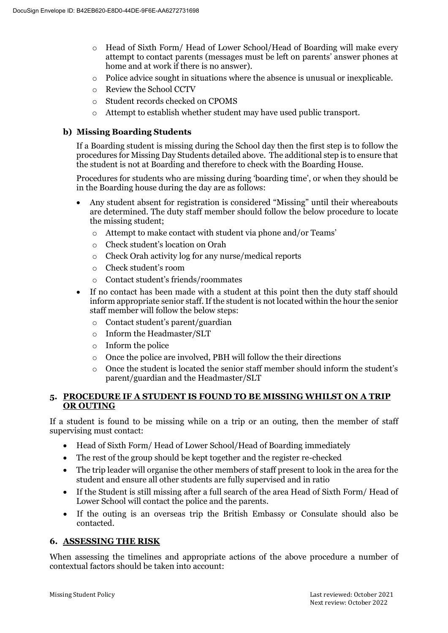- o Head of Sixth Form/ Head of Lower School/Head of Boarding will make every attempt to contact parents (messages must be left on parents' answer phones at home and at work if there is no answer).
- $\circ$  Police advice sought in situations where the absence is unusual or inexplicable.
- o Review the School CCTV
- o Student records checked on CPOMS
- o Attempt to establish whether student may have used public transport.

#### **b) Missing Boarding Students**

If a Boarding student is missing during the School day then the first step is to follow the procedures for Missing Day Students detailed above. The additional step is to ensure that the student is not at Boarding and therefore to check with the Boarding House.

Procedures for students who are missing during 'boarding time', or when they should be in the Boarding house during the day are as follows:

- Any student absent for registration is considered "Missing" until their whereabouts are determined. The duty staff member should follow the below procedure to locate the missing student;
	- o Attempt to make contact with student via phone and/or Teams'
	- o Check student's location on Orah
	- o Check Orah activity log for any nurse/medical reports
	- o Check student's room
	- o Contact student's friends/roommates
- If no contact has been made with a student at this point then the duty staff should inform appropriate senior staff. If the student is not located within the hour the senior staff member will follow the below steps:
	- o Contact student's parent/guardian
	- o Inform the Headmaster/SLT
	- o Inform the police
	- o Once the police are involved, PBH will follow the their directions
	- $\circ$  Once the student is located the senior staff member should inform the student's parent/guardian and the Headmaster/SLT

#### **5. PROCEDURE IF A STUDENT IS FOUND TO BE MISSING WHILST ON A TRIP OR OUTING**

If a student is found to be missing while on a trip or an outing, then the member of staff supervising must contact:

- Head of Sixth Form/ Head of Lower School/Head of Boarding immediately
- The rest of the group should be kept together and the register re-checked
- The trip leader will organise the other members of staff present to look in the area for the student and ensure all other students are fully supervised and in ratio
- If the Student is still missing after a full search of the area Head of Sixth Form/ Head of Lower School will contact the police and the parents.
- If the outing is an overseas trip the British Embassy or Consulate should also be contacted.

#### **6. ASSESSING THE RISK**

When assessing the timelines and appropriate actions of the above procedure a number of contextual factors should be taken into account: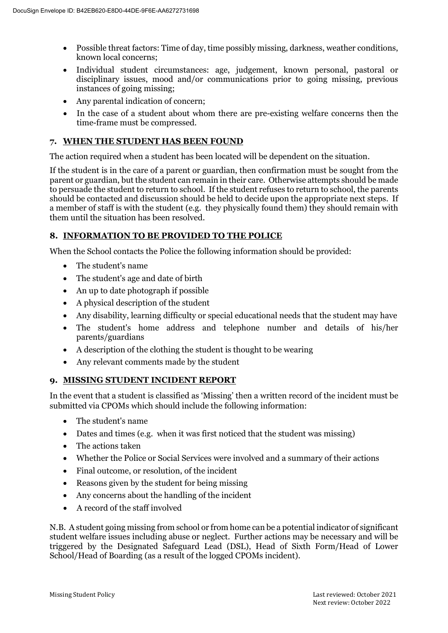- Possible threat factors: Time of day, time possibly missing, darkness, weather conditions, known local concerns;
- Individual student circumstances: age, judgement, known personal, pastoral or disciplinary issues, mood and/or communications prior to going missing, previous instances of going missing;
- Any parental indication of concern;
- In the case of a student about whom there are pre-existing welfare concerns then the time-frame must be compressed.

## **7. WHEN THE STUDENT HAS BEEN FOUND**

The action required when a student has been located will be dependent on the situation.

If the student is in the care of a parent or guardian, then confirmation must be sought from the parent or guardian, but the student can remain in their care. Otherwise attempts should be made to persuade the student to return to school. If the student refuses to return to school, the parents should be contacted and discussion should be held to decide upon the appropriate next steps. If a member of staff is with the student (e.g. they physically found them) they should remain with them until the situation has been resolved.

## **8. INFORMATION TO BE PROVIDED TO THE POLICE**

When the School contacts the Police the following information should be provided:

- The student's name
- The student's age and date of birth
- An up to date photograph if possible
- A physical description of the student
- Any disability, learning difficulty or special educational needs that the student may have
- The student's home address and telephone number and details of his/her parents/guardians
- A description of the clothing the student is thought to be wearing
- Any relevant comments made by the student

#### **9. MISSING STUDENT INCIDENT REPORT**

In the event that a student is classified as 'Missing' then a written record of the incident must be submitted via CPOMs which should include the following information:

- The student's name
- Dates and times (e.g. when it was first noticed that the student was missing)
- The actions taken
- Whether the Police or Social Services were involved and a summary of their actions
- Final outcome, or resolution, of the incident
- Reasons given by the student for being missing
- Any concerns about the handling of the incident
- A record of the staff involved

N.B. A student going missing from school or from home can be a potential indicator of significant student welfare issues including abuse or neglect. Further actions may be necessary and will be triggered by the Designated Safeguard Lead (DSL), Head of Sixth Form/Head of Lower School/Head of Boarding (as a result of the logged CPOMs incident).